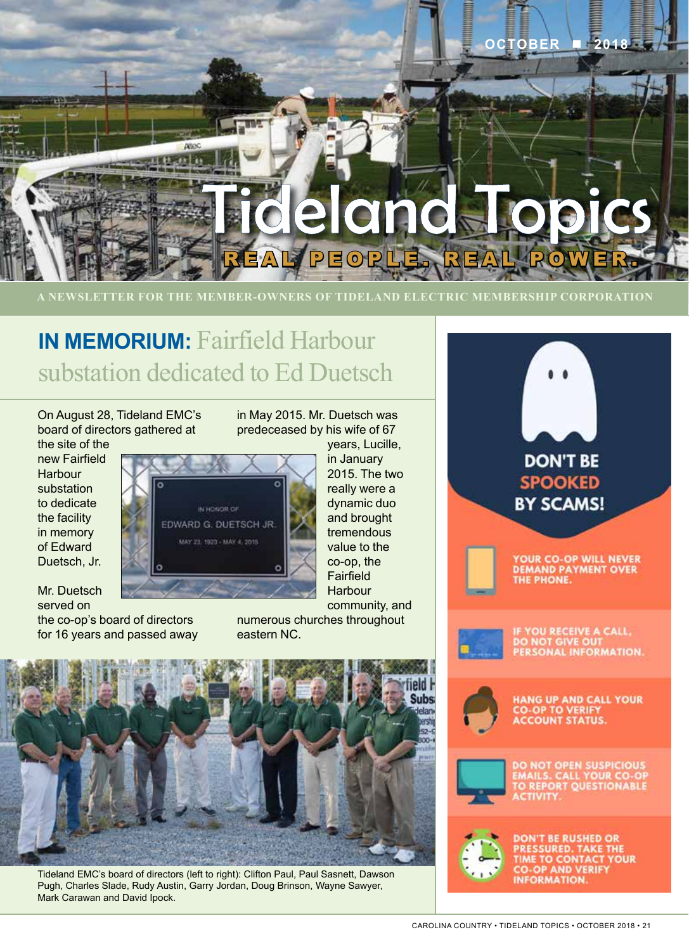

**A NEWSLETTER FOR THE MEMBER-OWNERS OF TIDELAND ELECTRIC MEMBERSHIP CORPORATION**

## **IN MEMORIUM:** Fairfield Harbour substation dedicated to Ed Duetsch

On August 28, Tideland EMC's board of directors gathered at

the site of the new Fairfield Harbour substation to dedicate the facility in memory of Edward Duetsch, Jr.

IN HONGR OF EDWARD G. DUETSCH JR. MAY 23, 1923 - MAY 4, 2015

Mr. Duetsch served on

the co-op's board of directors for 16 years and passed away in May 2015. Mr. Duetsch was predeceased by his wife of 67

> years, Lucille, in January 2015. The two really were a dynamic duo and brought tremendous value to the co-op, the Fairfield **Harbour** community, and

numerous churches throughout eastern NC.



Tideland EMC's board of directors (left to right): Clifton Paul, Paul Sasnett, Dawson Pugh, Charles Slade, Rudy Austin, Garry Jordan, Doug Brinson, Wayne Sawyer, Mark Carawan and David Ipock.

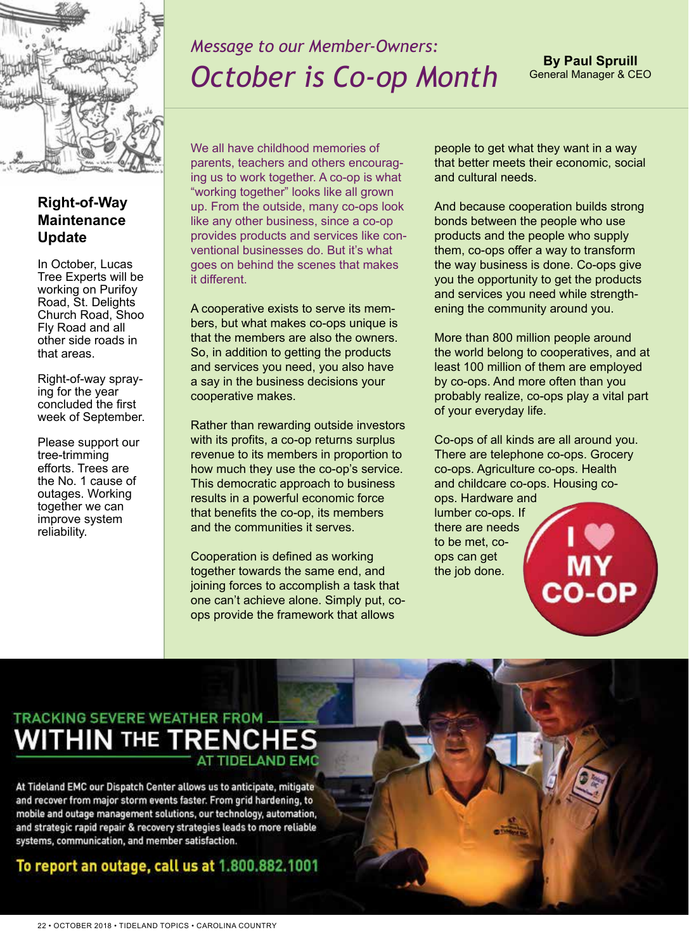

#### *Message to our Member-Owners: October is Co-op Month*

**By Paul Spruill** General Manager & CEO

#### **Right-of-Way Maintenance Update**

In October, Lucas Tree Experts will be working on Purifoy Road, St. Delights Church Road, Shoo Fly Road and all other side roads in that areas.

Right-of-way spraying for the year concluded the first week of September.

Please support our tree-trimming efforts. Trees are the No. 1 cause of outages. Working together we can improve system reliability.

We all have childhood memories of parents, teachers and others encouraging us to work together. A co-op is what "working together" looks like all grown up. From the outside, many co-ops look like any other business, since a co-op provides products and services like conventional businesses do. But it's what goes on behind the scenes that makes it different.

A cooperative exists to serve its members, but what makes co-ops unique is that the members are also the owners. So, in addition to getting the products and services you need, you also have a say in the business decisions your cooperative makes.

Rather than rewarding outside investors with its profits, a co-op returns surplus revenue to its members in proportion to how much they use the co-op's service. This democratic approach to business results in a powerful economic force that benefits the co-op, its members and the communities it serves.

Cooperation is defined as working together towards the same end, and joining forces to accomplish a task that one can't achieve alone. Simply put, coops provide the framework that allows

people to get what they want in a way that better meets their economic, social and cultural needs.

And because cooperation builds strong bonds between the people who use products and the people who supply them, co-ops offer a way to transform the way business is done. Co-ops give you the opportunity to get the products and services you need while strengthening the community around you.

More than 800 million people around the world belong to cooperatives, and at least 100 million of them are employed by co-ops. And more often than you probably realize, co-ops play a vital part of your everyday life.

Co-ops of all kinds are all around you. There are telephone co-ops. Grocery co-ops. Agriculture co-ops. Health and childcare co-ops. Housing coops. Hardware and lumber co-ops. If there are needs

to be met, coops can get the job done.

## **TRACKING SEVERE WEATHER FROM WITHIN THE TRE**

At Tideland EMC our Dispatch Center allows us to anticipate, mitigate and recover from major storm events faster. From grid hardening, to mobile and outage management solutions, our technology, automation, and strategic rapid repair & recovery strategies leads to more reliable systems, communication, and member satisfaction.

#### To report an outage, call us at 1.800.882.1001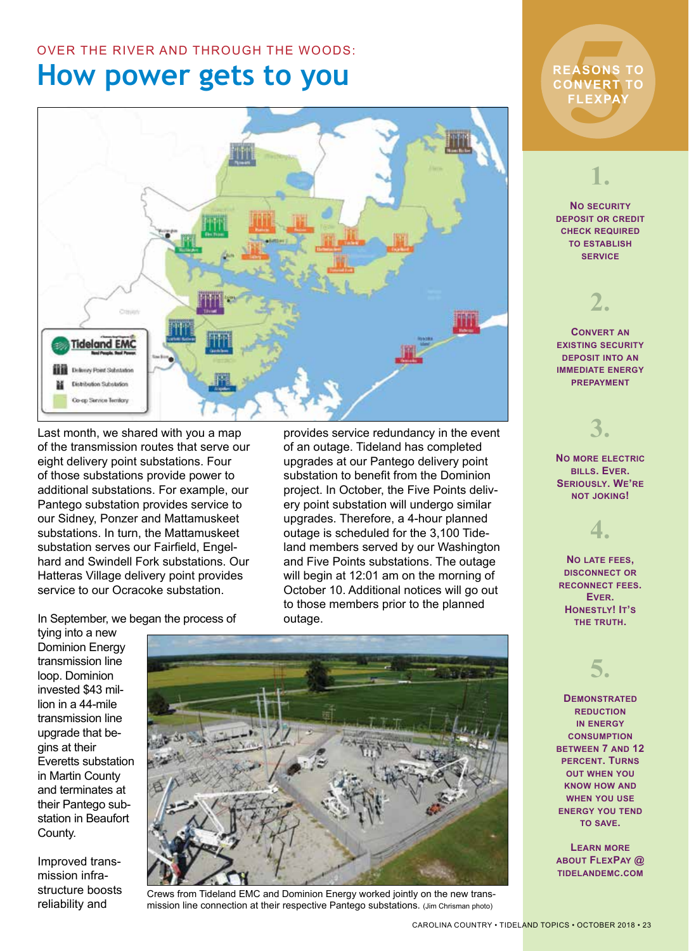#### OVER THE RIVER AND THROUGH THE WOODS:

### **How power gets to you**



Last month, we shared with you a map of the transmission routes that serve our eight delivery point substations. Four of those substations provide power to additional substations. For example, our Pantego substation provides service to our Sidney, Ponzer and Mattamuskeet substations. In turn, the Mattamuskeet substation serves our Fairfield, Engelhard and Swindell Fork substations. Our Hatteras Village delivery point provides service to our Ocracoke substation.

provides service redundancy in the event of an outage. Tideland has completed upgrades at our Pantego delivery point substation to benefit from the Dominion project. In October, the Five Points delivery point substation will undergo similar upgrades. Therefore, a 4-hour planned outage is scheduled for the 3,100 Tideland members served by our Washington and Five Points substations. The outage will begin at 12:01 am on the morning of October 10. Additional notices will go out to those members prior to the planned outage.

In September, we began the process of

tying into a new Dominion Energy transmission line loop. Dominion invested \$43 million in a 44-mile transmission line upgrade that begins at their Everetts substation in Martin County and terminates at their Pantego substation in Beaufort County.

Improved transmission infrastructure boosts reliability and



Crews from Tideland EMC and Dominion Energy worked jointly on the new transmission line connection at their respective Pantego substations. (Jim Chrisman photo)

# EASONS<br>DNVERT<br>FLEXPAY **REASONS TO CONVERT TO FLEXPAY**

#### **1.**

**No security deposit or credit check required to establish service**

## **2.**

**Convert an existing security deposit into an immediate energy prepayment**

**3.**

**No more electric bills. Ever. Seriously. We're not joking!** 

**4.**

**No late fees, disconnect or reconnect fees. Ever. Honestly! It's the truth.** 

#### **5.**

**Demonstrated reduction in energy consumption between 7 and 12 percent. Turns out when you know how and when you use energy you tend to save.** 

**Learn more about FlexPay @ tidelandemc.com**